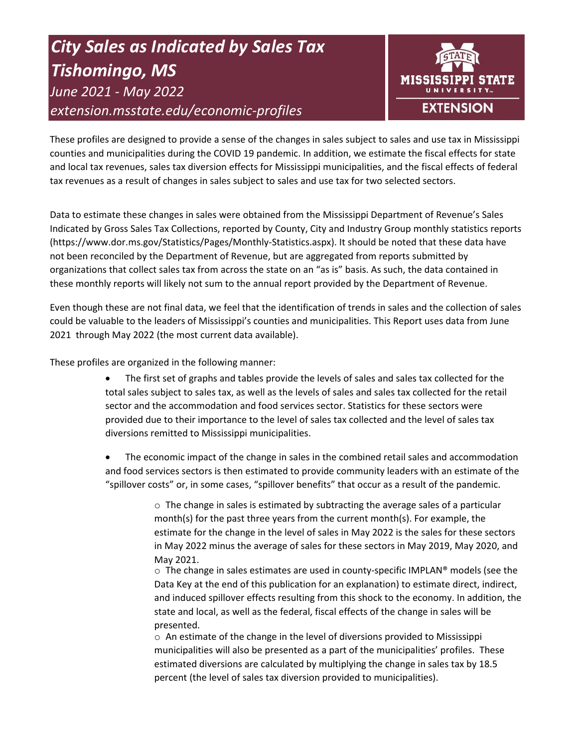# *City Sales as Indicated by Sales Tax Tishomingo, MS June 2021 - May 2022 extension.msstate.edu/economic-profiles*



These profiles are designed to provide a sense of the changes in sales subject to sales and use tax in Mississippi counties and municipalities during the COVID 19 pandemic. In addition, we estimate the fiscal effects for state and local tax revenues, sales tax diversion effects for Mississippi municipalities, and the fiscal effects of federal tax revenues as a result of changes in sales subject to sales and use tax for two selected sectors.

Data to estimate these changes in sales were obtained from the Mississippi Department of Revenue's Sales Indicated by Gross Sales Tax Collections, reported by County, City and Industry Group monthly statistics reports (https://www.dor.ms.gov/Statistics/Pages/Monthly-Statistics.aspx). It should be noted that these data have not been reconciled by the Department of Revenue, but are aggregated from reports submitted by organizations that collect sales tax from across the state on an "as is" basis. As such, the data contained in these monthly reports will likely not sum to the annual report provided by the Department of Revenue.

Even though these are not final data, we feel that the identification of trends in sales and the collection of sales could be valuable to the leaders of Mississippi's counties and municipalities. This Report uses data from June 2021 through May 2022 (the most current data available).

These profiles are organized in the following manner:

- The first set of graphs and tables provide the levels of sales and sales tax collected for the total sales subject to sales tax, as well as the levels of sales and sales tax collected for the retail sector and the accommodation and food services sector. Statistics for these sectors were provided due to their importance to the level of sales tax collected and the level of sales tax diversions remitted to Mississippi municipalities.
- The economic impact of the change in sales in the combined retail sales and accommodation and food services sectors is then estimated to provide community leaders with an estimate of the "spillover costs" or, in some cases, "spillover benefits" that occur as a result of the pandemic.

 $\circ$  The change in sales is estimated by subtracting the average sales of a particular month(s) for the past three years from the current month(s). For example, the estimate for the change in the level of sales in May 2022 is the sales for these sectors in May 2022 minus the average of sales for these sectors in May 2019, May 2020, and May 2021.

 $\circ$  The change in sales estimates are used in county-specific IMPLAN® models (see the Data Key at the end of this publication for an explanation) to estimate direct, indirect, and induced spillover effects resulting from this shock to the economy. In addition, the state and local, as well as the federal, fiscal effects of the change in sales will be presented.

 $\circ$  An estimate of the change in the level of diversions provided to Mississippi municipalities will also be presented as a part of the municipalities' profiles. These estimated diversions are calculated by multiplying the change in sales tax by 18.5 percent (the level of sales tax diversion provided to municipalities).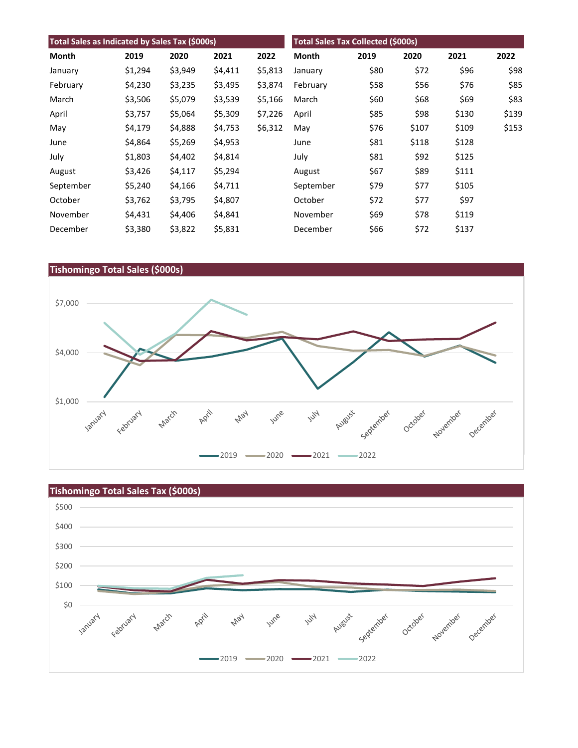| Total Sales as Indicated by Sales Tax (\$000s) |         |         |         |         | <b>Total Sales Tax Collected (\$000s)</b> |      |       |       |       |
|------------------------------------------------|---------|---------|---------|---------|-------------------------------------------|------|-------|-------|-------|
| Month                                          | 2019    | 2020    | 2021    | 2022    | Month                                     | 2019 | 2020  | 2021  | 2022  |
| January                                        | \$1,294 | \$3,949 | \$4,411 | \$5,813 | January                                   | \$80 | \$72  | \$96  | \$98  |
| February                                       | \$4,230 | \$3,235 | \$3,495 | \$3,874 | February                                  | \$58 | \$56  | \$76  | \$85  |
| March                                          | \$3,506 | \$5,079 | \$3,539 | \$5,166 | March                                     | \$60 | \$68  | \$69  | \$83  |
| April                                          | \$3,757 | \$5,064 | \$5,309 | \$7,226 | April                                     | \$85 | \$98  | \$130 | \$139 |
| May                                            | \$4,179 | \$4,888 | \$4,753 | \$6,312 | May                                       | \$76 | \$107 | \$109 | \$153 |
| June                                           | \$4,864 | \$5,269 | \$4,953 |         | June                                      | \$81 | \$118 | \$128 |       |
| July                                           | \$1,803 | \$4,402 | \$4,814 |         | July                                      | \$81 | \$92  | \$125 |       |
| August                                         | \$3,426 | \$4,117 | \$5,294 |         | August                                    | \$67 | \$89  | \$111 |       |
| September                                      | \$5,240 | \$4,166 | \$4,711 |         | September                                 | \$79 | \$77  | \$105 |       |
| October                                        | \$3,762 | \$3,795 | \$4,807 |         | October                                   | \$72 | \$77  | \$97  |       |
| November                                       | \$4,431 | \$4,406 | \$4,841 |         | November                                  | \$69 | \$78  | \$119 |       |
| December                                       | \$3,380 | \$3,822 | \$5,831 |         | December                                  | \$66 | \$72  | \$137 |       |



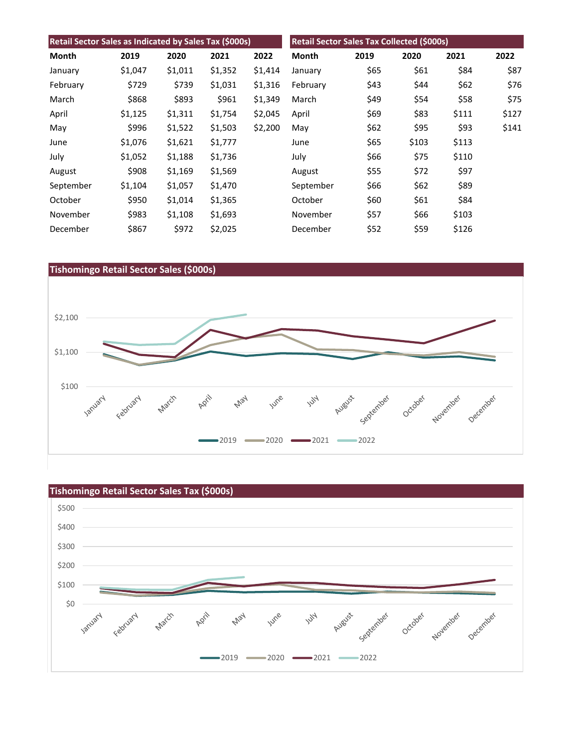| Retail Sector Sales as Indicated by Sales Tax (\$000s) |         |         |         |         | Retail Sector Sales Tax Collected (\$000s) |      |       |       |       |
|--------------------------------------------------------|---------|---------|---------|---------|--------------------------------------------|------|-------|-------|-------|
| Month                                                  | 2019    | 2020    | 2021    | 2022    | Month                                      | 2019 | 2020  | 2021  | 2022  |
| January                                                | \$1,047 | \$1,011 | \$1,352 | \$1,414 | January                                    | \$65 | \$61  | \$84  | \$87  |
| February                                               | \$729   | \$739   | \$1,031 | \$1,316 | February                                   | \$43 | \$44  | \$62  | \$76  |
| March                                                  | \$868   | \$893   | \$961   | \$1,349 | March                                      | \$49 | \$54  | \$58  | \$75  |
| April                                                  | \$1,125 | \$1,311 | \$1,754 | \$2,045 | April                                      | \$69 | \$83  | \$111 | \$127 |
| May                                                    | \$996   | \$1,522 | \$1,503 | \$2,200 | May                                        | \$62 | \$95  | \$93  | \$141 |
| June                                                   | \$1,076 | \$1,621 | \$1,777 |         | June                                       | \$65 | \$103 | \$113 |       |
| July                                                   | \$1,052 | \$1,188 | \$1,736 |         | July                                       | \$66 | \$75  | \$110 |       |
| August                                                 | \$908   | \$1,169 | \$1,569 |         | August                                     | \$55 | \$72  | \$97  |       |
| September                                              | \$1,104 | \$1,057 | \$1,470 |         | September                                  | \$66 | \$62  | \$89  |       |
| October                                                | \$950   | \$1,014 | \$1,365 |         | October                                    | \$60 | \$61  | \$84  |       |
| November                                               | \$983   | \$1,108 | \$1,693 |         | November                                   | \$57 | \$66  | \$103 |       |
| December                                               | \$867   | \$972   | \$2,025 |         | December                                   | \$52 | \$59  | \$126 |       |



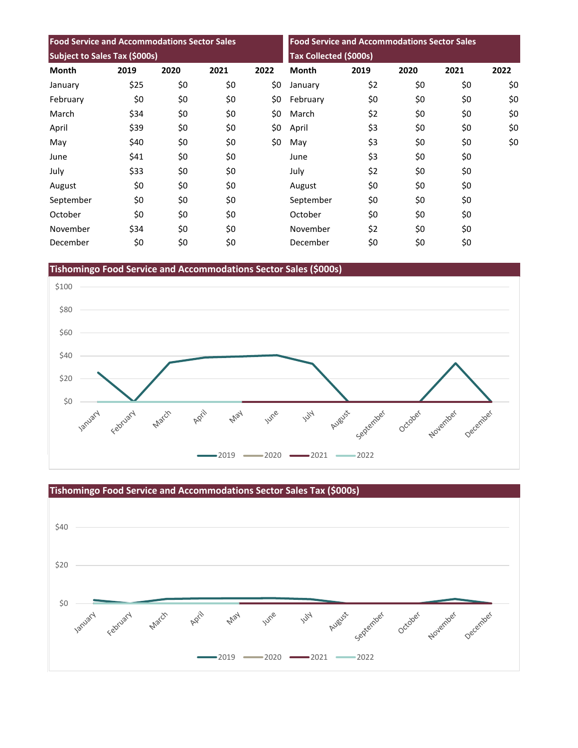| <b>Food Service and Accommodations Sector Sales</b><br><b>Subject to Sales Tax (\$000s)</b> |      |      |      |      |                               | <b>Food Service and Accommodations Sector Sales</b> |      |      |      |  |
|---------------------------------------------------------------------------------------------|------|------|------|------|-------------------------------|-----------------------------------------------------|------|------|------|--|
|                                                                                             |      |      |      |      | <b>Tax Collected (\$000s)</b> |                                                     |      |      |      |  |
| <b>Month</b>                                                                                | 2019 | 2020 | 2021 | 2022 | <b>Month</b>                  | 2019                                                | 2020 | 2021 | 2022 |  |
| January                                                                                     | \$25 | \$0  | \$0  | \$0  | January                       | \$2                                                 | \$0  | \$0  | \$0  |  |
| February                                                                                    | \$0  | \$0  | \$0  | \$0  | February                      | \$0                                                 | \$0  | \$0  | \$0  |  |
| March                                                                                       | \$34 | \$0  | \$0  | \$0  | March                         | \$2                                                 | \$0  | \$0  | \$0  |  |
| April                                                                                       | \$39 | \$0  | \$0  | \$0  | April                         | \$3                                                 | \$0  | \$0  | \$0  |  |
| May                                                                                         | \$40 | \$0  | \$0  | \$0  | May                           | \$3                                                 | \$0  | \$0  | \$0  |  |
| June                                                                                        | \$41 | \$0  | \$0  |      | June                          | \$3                                                 | \$0  | \$0  |      |  |
| July                                                                                        | \$33 | \$0  | \$0  |      | July                          | \$2                                                 | \$0  | \$0  |      |  |
| August                                                                                      | \$0  | \$0  | \$0  |      | August                        | \$0                                                 | \$0  | \$0  |      |  |
| September                                                                                   | \$0  | \$0  | \$0  |      | September                     | \$0                                                 | \$0  | \$0  |      |  |
| October                                                                                     | \$0  | \$0  | \$0  |      | October                       | \$0                                                 | \$0  | \$0  |      |  |
| November                                                                                    | \$34 | \$0  | \$0  |      | November                      | \$2                                                 | \$0  | \$0  |      |  |
| December                                                                                    | \$0  | \$0  | \$0  |      | December                      | \$0                                                 | \$0  | \$0  |      |  |

**Tishomingo Food Service and Accommodations Sector Sales (\$000s)**



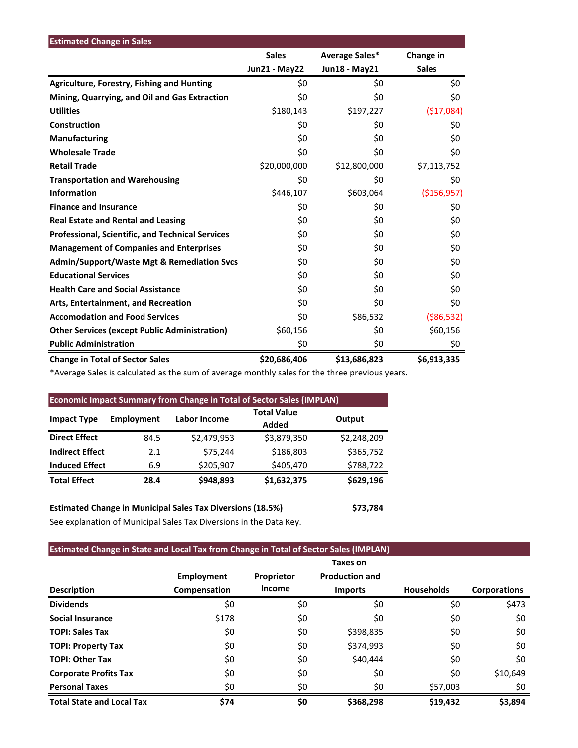| <b>Estimated Change in Sales</b>                        |                      |                |               |
|---------------------------------------------------------|----------------------|----------------|---------------|
|                                                         | <b>Sales</b>         | Average Sales* | Change in     |
|                                                         | <b>Jun21 - May22</b> | Jun18 - May21  | <b>Sales</b>  |
| <b>Agriculture, Forestry, Fishing and Hunting</b>       | \$0                  | \$0            | \$0           |
| Mining, Quarrying, and Oil and Gas Extraction           | \$0                  | \$0            | \$0           |
| <b>Utilities</b>                                        | \$180,143            | \$197,227      | (\$17,084)    |
| Construction                                            | \$0                  | \$0            | \$0           |
| Manufacturing                                           | \$0                  | \$0            | \$0           |
| <b>Wholesale Trade</b>                                  | \$0                  | \$0            | \$0           |
| <b>Retail Trade</b>                                     | \$20,000,000         | \$12,800,000   | \$7,113,752   |
| <b>Transportation and Warehousing</b>                   | \$0                  | \$0            | \$0           |
| <b>Information</b>                                      | \$446,107            | \$603,064      | ( \$156, 957) |
| <b>Finance and Insurance</b>                            | \$0                  | \$0            | \$0           |
| <b>Real Estate and Rental and Leasing</b>               | \$0                  | \$0            | \$0           |
| <b>Professional, Scientific, and Technical Services</b> | \$0                  | \$0            | \$0           |
| <b>Management of Companies and Enterprises</b>          | \$0                  | \$0            | \$0           |
| <b>Admin/Support/Waste Mgt &amp; Remediation Svcs</b>   | \$0                  | \$0            | \$0           |
| <b>Educational Services</b>                             | \$0                  | \$0            | \$0           |
| <b>Health Care and Social Assistance</b>                | \$0                  | \$0            | \$0           |
| Arts, Entertainment, and Recreation                     | \$0                  | \$0            | \$0           |
| <b>Accomodation and Food Services</b>                   | \$0                  | \$86,532       | ( \$86, 532)  |
| <b>Other Services (except Public Administration)</b>    | \$60,156             | \$0            | \$60,156      |
| <b>Public Administration</b>                            | \$0                  | \$0            | \$0           |
| <b>Change in Total of Sector Sales</b>                  | \$20,686,406         | \$13,686,823   | \$6,913,335   |

\*Average Sales is calculated as the sum of average monthly sales for the three previous years.

| <b>Economic Impact Summary from Change in Total of Sector Sales (IMPLAN)</b> |            |                     |                             |             |  |  |  |
|------------------------------------------------------------------------------|------------|---------------------|-----------------------------|-------------|--|--|--|
| <b>Impact Type</b>                                                           | Employment | <b>Labor Income</b> | <b>Total Value</b><br>Added | Output      |  |  |  |
| <b>Direct Effect</b>                                                         | 84.5       | \$2,479,953         | \$3,879,350                 | \$2,248,209 |  |  |  |
| <b>Indirect Effect</b>                                                       | 2.1        | \$75,244            | \$186,803                   | \$365,752   |  |  |  |
| <b>Induced Effect</b>                                                        | 6.9        | \$205,907           | \$405,470                   | \$788,722   |  |  |  |
| <b>Total Effect</b>                                                          | 28.4       | \$948,893           | \$1,632,375                 | \$629,196   |  |  |  |

**Estimated Change in Municipal Sales Tax Diversions (18.5%) \$73,784** See explanation of Municipal Sales Tax Diversions in the Data Key.

## **Estimated Change in State and Local Tax from Change in Total of Sector Sales (IMPLAN)**

|                                  |                   |            | Taxes on              |                   |                     |
|----------------------------------|-------------------|------------|-----------------------|-------------------|---------------------|
|                                  | <b>Employment</b> | Proprietor | <b>Production and</b> |                   |                     |
| <b>Description</b>               | Compensation      | Income     | <b>Imports</b>        | <b>Households</b> | <b>Corporations</b> |
| <b>Dividends</b>                 | \$0               | \$0        | \$0                   | \$0               | \$473               |
| <b>Social Insurance</b>          | \$178             | \$0        | \$0                   | \$0               | \$0                 |
| <b>TOPI: Sales Tax</b>           | \$0               | \$0        | \$398,835             | \$0               | \$0                 |
| <b>TOPI: Property Tax</b>        | \$0               | \$0        | \$374,993             | \$0               | \$0                 |
| <b>TOPI: Other Tax</b>           | \$0               | \$0        | \$40,444              | \$0               | \$0                 |
| <b>Corporate Profits Tax</b>     | \$0               | \$0        | \$0                   | \$0               | \$10,649            |
| <b>Personal Taxes</b>            | \$0               | \$0        | \$0                   | \$57,003          | \$0                 |
| <b>Total State and Local Tax</b> | \$74              | \$0        | \$368,298             | \$19,432          | \$3,894             |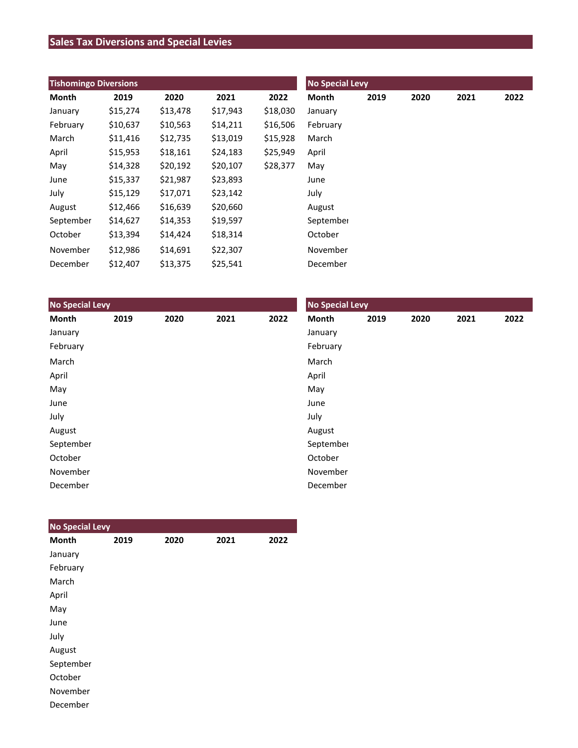# **Sales Tax Diversions and Special Levies**

| <b>Tishomingo Diversions</b> |          |          |          |          | <b>No Special Levy</b> |      |      |      |      |
|------------------------------|----------|----------|----------|----------|------------------------|------|------|------|------|
| Month                        | 2019     | 2020     | 2021     | 2022     | Month                  | 2019 | 2020 | 2021 | 2022 |
| January                      | \$15,274 | \$13,478 | \$17,943 | \$18,030 | January                |      |      |      |      |
| February                     | \$10,637 | \$10,563 | \$14,211 | \$16,506 | February               |      |      |      |      |
| March                        | \$11,416 | \$12,735 | \$13,019 | \$15,928 | March                  |      |      |      |      |
| April                        | \$15,953 | \$18,161 | \$24,183 | \$25,949 | April                  |      |      |      |      |
| May                          | \$14,328 | \$20,192 | \$20,107 | \$28,377 | May                    |      |      |      |      |
| June                         | \$15,337 | \$21,987 | \$23,893 |          | June                   |      |      |      |      |
| July                         | \$15,129 | \$17,071 | \$23,142 |          | July                   |      |      |      |      |
| August                       | \$12,466 | \$16,639 | \$20,660 |          | August                 |      |      |      |      |
| September                    | \$14,627 | \$14,353 | \$19,597 |          | September              |      |      |      |      |
| October                      | \$13,394 | \$14,424 | \$18,314 |          | October                |      |      |      |      |
| November                     | \$12,986 | \$14,691 | \$22,307 |          | November               |      |      |      |      |
| December                     | \$12,407 | \$13,375 | \$25,541 |          | December               |      |      |      |      |

| <b>No Special Levy</b> |      |      |      |      | <b>No Special Levy</b> |      |      |      |      |  |
|------------------------|------|------|------|------|------------------------|------|------|------|------|--|
| Month                  | 2019 | 2020 | 2021 | 2022 | Month                  | 2019 | 2020 | 2021 | 2022 |  |
| January                |      |      |      |      | January                |      |      |      |      |  |
| February               |      |      |      |      | February               |      |      |      |      |  |
| March                  |      |      |      |      | March                  |      |      |      |      |  |
| April                  |      |      |      |      | April                  |      |      |      |      |  |
| May                    |      |      |      |      | May                    |      |      |      |      |  |
| June                   |      |      |      |      | June                   |      |      |      |      |  |
| July                   |      |      |      |      | July                   |      |      |      |      |  |
| August                 |      |      |      |      | August                 |      |      |      |      |  |
| September              |      |      |      |      | September              |      |      |      |      |  |
| October                |      |      |      |      | October                |      |      |      |      |  |
| November               |      |      |      |      | November               |      |      |      |      |  |
| December               |      |      |      |      | December               |      |      |      |      |  |

| <b>No Special Levy</b> |      |      |      |      |
|------------------------|------|------|------|------|
| <b>Month</b>           | 2019 | 2020 | 2021 | 2022 |
| January                |      |      |      |      |
| February               |      |      |      |      |
| March                  |      |      |      |      |
| April                  |      |      |      |      |
| May                    |      |      |      |      |
| June                   |      |      |      |      |
| July                   |      |      |      |      |
| August                 |      |      |      |      |
| September              |      |      |      |      |
| October                |      |      |      |      |
| November               |      |      |      |      |
| December               |      |      |      |      |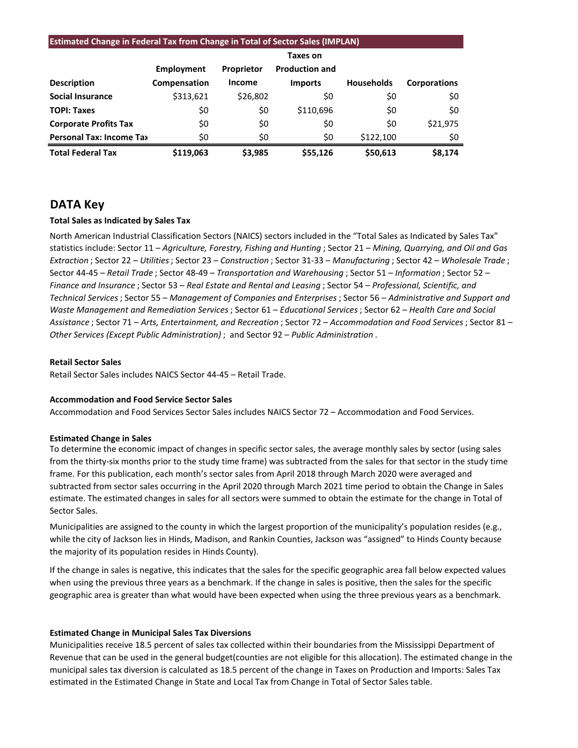#### **Estimated Change in Federal Tax from Change in Total of Sector Sales (IMPLAN)**

|                                 |              |               | <b>Taxes on</b>       |                   |                     |
|---------------------------------|--------------|---------------|-----------------------|-------------------|---------------------|
|                                 | Employment   | Proprietor    | <b>Production and</b> |                   |                     |
| <b>Description</b>              | Compensation | <b>Income</b> | <b>Imports</b>        | <b>Households</b> | <b>Corporations</b> |
| <b>Social Insurance</b>         | \$313,621    | \$26,802      | \$0                   | \$0               | \$0                 |
| <b>TOPI: Taxes</b>              | \$0          | \$0           | \$110,696             | \$0               | \$0                 |
| <b>Corporate Profits Tax</b>    | \$0          | \$0           | \$0                   | \$0               | \$21,975            |
| <b>Personal Tax: Income Tax</b> | \$0          | \$0           | \$0                   | \$122,100         | \$0                 |
| <b>Total Federal Tax</b>        | \$119.063    | \$3.985       | \$55,126              | \$50,613          | \$8,174             |

## **DATA Key**

#### **Total Sales as Indicated by Sales Tax**

North American Industrial Classification Sectors (NAICS) sectors included in the "Total Sales as Indicated by Sales Tax" statistics include: Sector 11 – *Agriculture, Forestry, Fishing and Hunting* ; Sector 21 – *Mining, Quarrying, and Oil and Gas Extraction* ; Sector 22 – *Utilities*; Sector 23 – *Construction* ; Sector 31-33 – *Manufacturing* ; Sector 42 – *Wholesale Trade* ; Sector 44-45 – *Retail Trade* ; Sector 48-49 – *Transportation and Warehousing* ; Sector 51 – *Information* ; Sector 52 – *Finance and Insurance* ; Sector 53 – *Real Estate and Rental and Leasing* ; Sector 54 – *Professional, Scientific, and Technical Services*; Sector 55 – *Management of Companies and Enterprises* ; Sector 56 – *Administrative and Support and Waste Management and Remediation Services* ; Sector 61 – *Educational Services*; Sector 62 – *Health Care and Social Assistance* ; Sector 71 – *Arts, Entertainment, and Recreation* ; Sector 72 – *Accommodation and Food Services* ; Sector 81 – *Other Services (Except Public Administration)* ; and Sector 92 – *Public Administration* .

#### **Retail Sector Sales**

Retail Sector Sales includes NAICS Sector 44-45 – Retail Trade.

#### **Accommodation and Food Service Sector Sales**

Accommodation and Food Services Sector Sales includes NAICS Sector 72 – Accommodation and Food Services.

#### **Estimated Change in Sales**

To determine the economic impact of changes in specific sector sales, the average monthly sales by sector (using sales from the thirty-six months prior to the study time frame) was subtracted from the sales for that sector in the study time frame. For this publication, each month's sector sales from April 2018 through March 2020 were averaged and subtracted from sector sales occurring in the April 2020 through March 2021 time period to obtain the Change in Sales estimate. The estimated changes in sales for all sectors were summed to obtain the estimate for the change in Total of Sector Sales.

Municipalities are assigned to the county in which the largest proportion of the municipality's population resides (e.g., while the city of Jackson lies in Hinds, Madison, and Rankin Counties, Jackson was "assigned" to Hinds County because the majority of its population resides in Hinds County).

If the change in sales is negative, this indicates that the sales for the specific geographic area fall below expected values when using the previous three years as a benchmark. If the change in sales is positive, then the sales for the specific geographic area is greater than what would have been expected when using the three previous years as a benchmark.

#### **Estimated Change in Municipal Sales Tax Diversions**

Municipalities receive 18.5 percent of sales tax collected within their boundaries from the Mississippi Department of Revenue that can be used in the general budget(counties are not eligible for this allocation). The estimated change in the municipal sales tax diversion is calculated as 18.5 percent of the change in Taxes on Production and Imports: Sales Tax estimated in the Estimated Change in State and Local Tax from Change in Total of Sector Sales table.